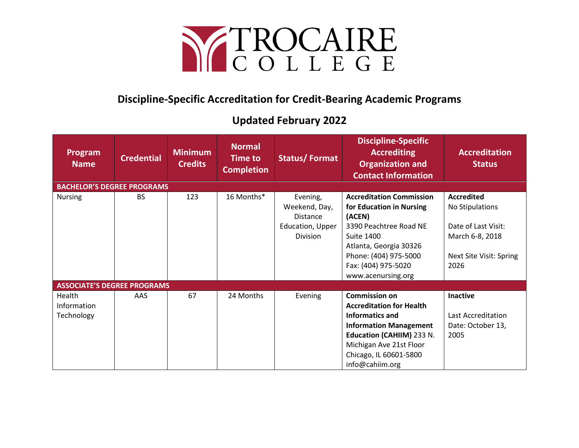

## **Discipline-Specific Accreditation for Credit-Bearing Academic Programs**

## **Updated February 2022**

| Program<br><b>Name</b>              | <b>Credential</b> | <b>Minimum</b><br><b>Credits</b> | <b>Normal</b><br><b>Time to</b><br><b>Completion</b> | <b>Status/Format</b>                                                         | <b>Discipline-Specific</b><br><b>Accrediting</b><br><b>Organization and</b><br><b>Contact Information</b>                                                                                                            | <b>Accreditation</b><br><b>Status</b>                                                                             |  |  |
|-------------------------------------|-------------------|----------------------------------|------------------------------------------------------|------------------------------------------------------------------------------|----------------------------------------------------------------------------------------------------------------------------------------------------------------------------------------------------------------------|-------------------------------------------------------------------------------------------------------------------|--|--|
| <b>BACHELOR'S DEGREE PROGRAMS</b>   |                   |                                  |                                                      |                                                                              |                                                                                                                                                                                                                      |                                                                                                                   |  |  |
| <b>Nursing</b>                      | BS.               | 123                              | 16 Months*                                           | Evening,<br>Weekend, Day,<br><b>Distance</b><br>Education, Upper<br>Division | <b>Accreditation Commission</b><br>for Education in Nursing<br>(ACEN)<br>3390 Peachtree Road NE<br><b>Suite 1400</b><br>Atlanta, Georgia 30326<br>Phone: (404) 975-5000<br>Fax: (404) 975-5020<br>www.acenursing.org | <b>Accredited</b><br>No Stipulations<br>Date of Last Visit:<br>March 6-8, 2018<br>Next Site Visit: Spring<br>2026 |  |  |
| <b>ASSOCIATE'S DEGREE PROGRAMS</b>  |                   |                                  |                                                      |                                                                              |                                                                                                                                                                                                                      |                                                                                                                   |  |  |
| Health<br>Information<br>Technology | AAS.              | 67                               | 24 Months                                            | Evening                                                                      | <b>Commission on</b><br><b>Accreditation for Health</b><br>Informatics and<br><b>Information Management</b><br>Education (CAHIIM) 233 N.<br>Michigan Ave 21st Floor<br>Chicago, IL 60601-5800<br>info@cahiim.org     | <b>Inactive</b><br>Last Accreditation<br>Date: October 13,<br>2005                                                |  |  |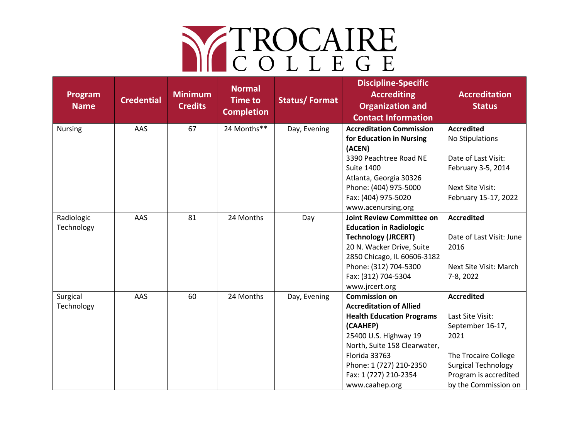## NE TROCAIRE

| Program<br><b>Name</b>   | <b>Credential</b> | <b>Minimum</b><br><b>Credits</b> | <b>Normal</b><br><b>Time to</b><br><b>Completion</b> | <b>Status/Format</b> | <b>Discipline-Specific</b><br><b>Accrediting</b><br><b>Organization and</b><br><b>Contact Information</b>                                                                                                                                              | <b>Accreditation</b><br><b>Status</b>                                                                                                                                    |
|--------------------------|-------------------|----------------------------------|------------------------------------------------------|----------------------|--------------------------------------------------------------------------------------------------------------------------------------------------------------------------------------------------------------------------------------------------------|--------------------------------------------------------------------------------------------------------------------------------------------------------------------------|
| <b>Nursing</b>           | AAS               | 67                               | 24 Months**                                          | Day, Evening         | <b>Accreditation Commission</b><br>for Education in Nursing<br>(ACEN)<br>3390 Peachtree Road NE                                                                                                                                                        | <b>Accredited</b><br>No Stipulations<br>Date of Last Visit:                                                                                                              |
|                          |                   |                                  |                                                      |                      | <b>Suite 1400</b><br>Atlanta, Georgia 30326<br>Phone: (404) 975-5000<br>Fax: (404) 975-5020<br>www.acenursing.org                                                                                                                                      | February 3-5, 2014<br>Next Site Visit:<br>February 15-17, 2022                                                                                                           |
| Radiologic<br>Technology | AAS               | 81                               | 24 Months                                            | Day                  | <b>Joint Review Committee on</b><br><b>Education in Radiologic</b><br><b>Technology (JRCERT)</b><br>20 N. Wacker Drive, Suite<br>2850 Chicago, IL 60606-3182<br>Phone: (312) 704-5300<br>Fax: (312) 704-5304<br>www.jrcert.org                         | <b>Accredited</b><br>Date of Last Visit: June<br>2016<br>Next Site Visit: March<br>7-8, 2022                                                                             |
| Surgical<br>Technology   | AAS               | 60                               | 24 Months                                            | Day, Evening         | <b>Commission on</b><br><b>Accreditation of Allied</b><br><b>Health Education Programs</b><br>(CAAHEP)<br>25400 U.S. Highway 19<br>North, Suite 158 Clearwater,<br>Florida 33763<br>Phone: 1 (727) 210-2350<br>Fax: 1 (727) 210-2354<br>www.caahep.org | <b>Accredited</b><br>Last Site Visit:<br>September 16-17,<br>2021<br>The Trocaire College<br><b>Surgical Technology</b><br>Program is accredited<br>by the Commission on |